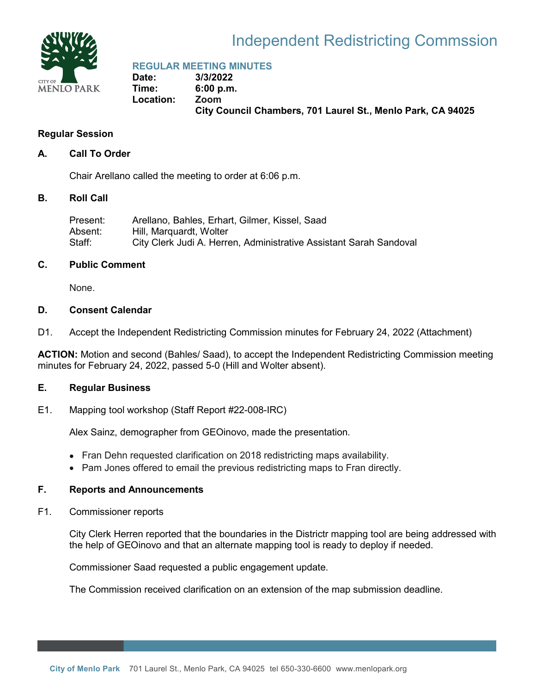

# Independent Redistricting Commssion

**REGULAR MEETING MINUTES** 

**Date: 3/3/2022 Time: 6:00 p.m. Location: Zoom City Council Chambers, 701 Laurel St., Menlo Park, CA 94025**

## **Regular Session**

## **A. Call To Order**

Chair Arellano called the meeting to order at 6:06 p.m.

#### **B. Roll Call**

| Present: | Arellano, Bahles, Erhart, Gilmer, Kissel, Saad                     |
|----------|--------------------------------------------------------------------|
| Absent:  | Hill, Marquardt, Wolter                                            |
| Staff:   | City Clerk Judi A. Herren, Administrative Assistant Sarah Sandoval |

#### **C. Public Comment**

None.

#### **D. Consent Calendar**

D1. Accept the Independent Redistricting Commission minutes for February 24, 2022 (Attachment)

**ACTION:** Motion and second (Bahles/ Saad), to accept the Independent Redistricting Commission meeting minutes for February 24, 2022, passed 5-0 (Hill and Wolter absent).

#### **E. Regular Business**

E1. Mapping tool workshop (Staff Report #22-008-IRC)

Alex Sainz, demographer from GEOinovo, made the presentation.

- Fran Dehn requested clarification on 2018 redistricting maps availability.
- Pam Jones offered to email the previous redistricting maps to Fran directly.

#### **F. Reports and Announcements**

F1. Commissioner reports

City Clerk Herren reported that the boundaries in the Districtr mapping tool are being addressed with the help of GEOinovo and that an alternate mapping tool is ready to deploy if needed.

Commissioner Saad requested a public engagement update.

The Commission received clarification on an extension of the map submission deadline.